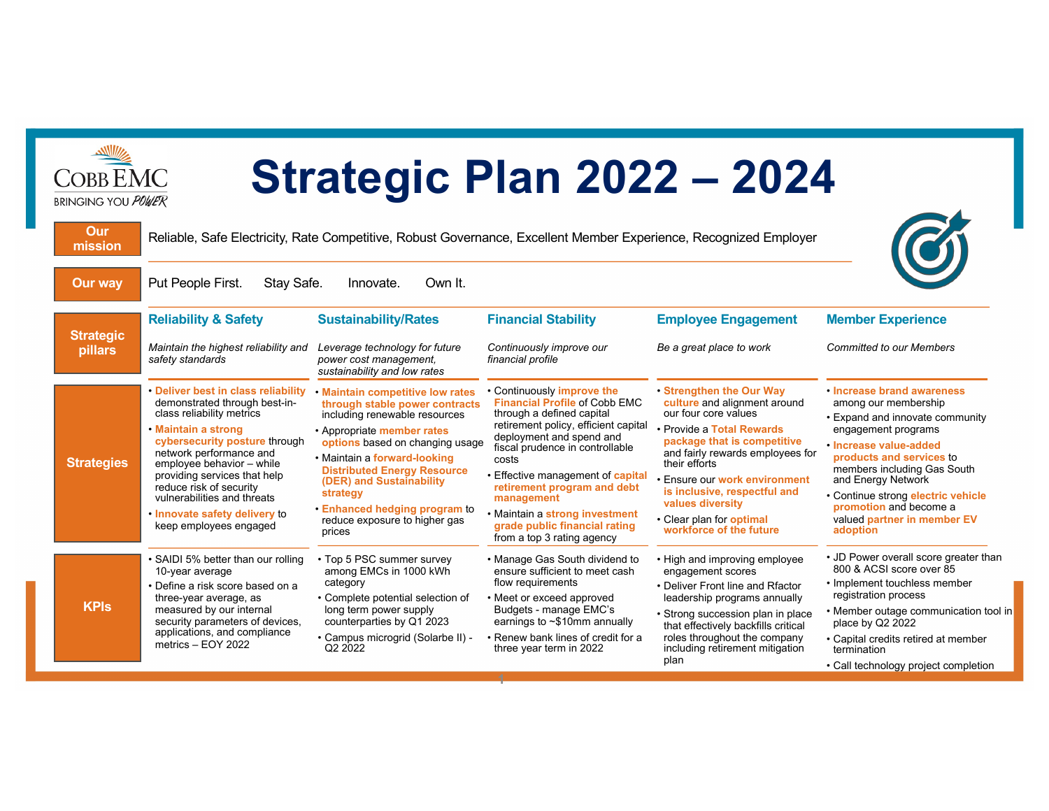| <b>Strategic Plan 2022 - 2024</b><br><b>COBB EMC</b><br><b>BRINGING YOU POWER</b> |                                                                                                                                                                                                                                                                                                                                                                        |                                                                                                                                                                                                                                                                                                                                                                |                                                                                                                                                                                                                                                                                                                                                                                                  |                                                                                                                                                                                                                                                                                                                                                      |                                                                                                                                                                                                                                                                                                                                    |
|-----------------------------------------------------------------------------------|------------------------------------------------------------------------------------------------------------------------------------------------------------------------------------------------------------------------------------------------------------------------------------------------------------------------------------------------------------------------|----------------------------------------------------------------------------------------------------------------------------------------------------------------------------------------------------------------------------------------------------------------------------------------------------------------------------------------------------------------|--------------------------------------------------------------------------------------------------------------------------------------------------------------------------------------------------------------------------------------------------------------------------------------------------------------------------------------------------------------------------------------------------|------------------------------------------------------------------------------------------------------------------------------------------------------------------------------------------------------------------------------------------------------------------------------------------------------------------------------------------------------|------------------------------------------------------------------------------------------------------------------------------------------------------------------------------------------------------------------------------------------------------------------------------------------------------------------------------------|
| Our<br>mission                                                                    | Reliable, Safe Electricity, Rate Competitive, Robust Governance, Excellent Member Experience, Recognized Employer                                                                                                                                                                                                                                                      |                                                                                                                                                                                                                                                                                                                                                                |                                                                                                                                                                                                                                                                                                                                                                                                  |                                                                                                                                                                                                                                                                                                                                                      |                                                                                                                                                                                                                                                                                                                                    |
| <b>Our way</b>                                                                    | Put People First.<br>Stay Safe.                                                                                                                                                                                                                                                                                                                                        | Own It.<br>Innovate.                                                                                                                                                                                                                                                                                                                                           |                                                                                                                                                                                                                                                                                                                                                                                                  |                                                                                                                                                                                                                                                                                                                                                      |                                                                                                                                                                                                                                                                                                                                    |
|                                                                                   | <b>Reliability &amp; Safety</b>                                                                                                                                                                                                                                                                                                                                        | <b>Sustainability/Rates</b>                                                                                                                                                                                                                                                                                                                                    | <b>Financial Stability</b>                                                                                                                                                                                                                                                                                                                                                                       | <b>Employee Engagement</b>                                                                                                                                                                                                                                                                                                                           | <b>Member Experience</b>                                                                                                                                                                                                                                                                                                           |
| <b>Strategic</b><br>pillars                                                       | Maintain the highest reliability and<br>safety standards                                                                                                                                                                                                                                                                                                               | Leverage technology for future<br>power cost management.<br>sustainability and low rates                                                                                                                                                                                                                                                                       | Continuously improve our<br>financial profile                                                                                                                                                                                                                                                                                                                                                    | Be a great place to work                                                                                                                                                                                                                                                                                                                             | <b>Committed to our Members</b>                                                                                                                                                                                                                                                                                                    |
| <b>Strategies</b>                                                                 | • Deliver best in class reliability<br>demonstrated through best-in-<br>class reliability metrics<br>• Maintain a strong<br>cybersecurity posture through<br>network performance and<br>employee behavior - while<br>providing services that help<br>reduce risk of security<br>vulnerabilities and threats<br>. Innovate safety delivery to<br>keep employees engaged | · Maintain competitive low rates<br>through stable power contracts<br>including renewable resources<br>• Appropriate member rates<br>options based on changing usage<br>• Maintain a forward-looking<br><b>Distributed Energy Resource</b><br>(DER) and Sustainability<br>strategy<br>• Enhanced hedging program to<br>reduce exposure to higher gas<br>prices | • Continuously improve the<br><b>Financial Profile of Cobb EMC</b><br>through a defined capital<br>retirement policy, efficient capital<br>deployment and spend and<br>fiscal prudence in controllable<br>costs<br>Effective management of capital<br>retirement program and debt<br>management<br>• Maintain a strong investment<br>grade public financial rating<br>from a top 3 rating agency | • Strengthen the Our Way<br>culture and alignment around<br>our four core values<br>• Provide a Total Rewards<br>package that is competitive<br>and fairly rewards employees for<br>their efforts<br>· Ensure our work environment<br>is inclusive, respectful and<br>values diversity<br>• Clear plan for <b>optimal</b><br>workforce of the future | • Increase brand awareness<br>among our membership<br>• Expand and innovate community<br>engagement programs<br>· Increase value-added<br>products and services to<br>members including Gas South<br>and Energy Network<br>· Continue strong electric vehicle<br>promotion and become a<br>valued partner in member EV<br>adoption |
| <b>KPIs</b>                                                                       | • SAIDI 5% better than our rolling<br>10-year average<br>• Define a risk score based on a<br>three-year average, as<br>measured by our internal<br>security parameters of devices,<br>applications, and compliance<br>metrics - EOY 2022                                                                                                                               | • Top 5 PSC summer survey<br>among EMCs in 1000 kWh<br>category<br>• Complete potential selection of<br>long term power supply<br>counterparties by Q1 2023<br>· Campus microgrid (Solarbe II) -<br>Q <sub>2</sub> 2022                                                                                                                                        | • Manage Gas South dividend to<br>ensure sufficient to meet cash<br>flow requirements<br>• Meet or exceed approved<br>Budgets - manage EMC's<br>earnings to $\sim$ \$10mm annually<br>• Renew bank lines of credit for a<br>three year term in 2022                                                                                                                                              | • High and improving employee<br>engagement scores<br>• Deliver Front line and Rfactor<br>leadership programs annually<br>• Strong succession plan in place<br>that effectively backfills critical<br>roles throughout the company<br>including retirement mitigation<br>plan                                                                        | • JD Power overall score greater than<br>800 & ACSI score over 85<br>• Implement touchless member<br>registration process<br>• Member outage communication tool in<br>place by Q2 2022<br>• Capital credits retired at member<br>termination<br>• Call technology project completion                                               |
|                                                                                   |                                                                                                                                                                                                                                                                                                                                                                        |                                                                                                                                                                                                                                                                                                                                                                |                                                                                                                                                                                                                                                                                                                                                                                                  |                                                                                                                                                                                                                                                                                                                                                      |                                                                                                                                                                                                                                                                                                                                    |